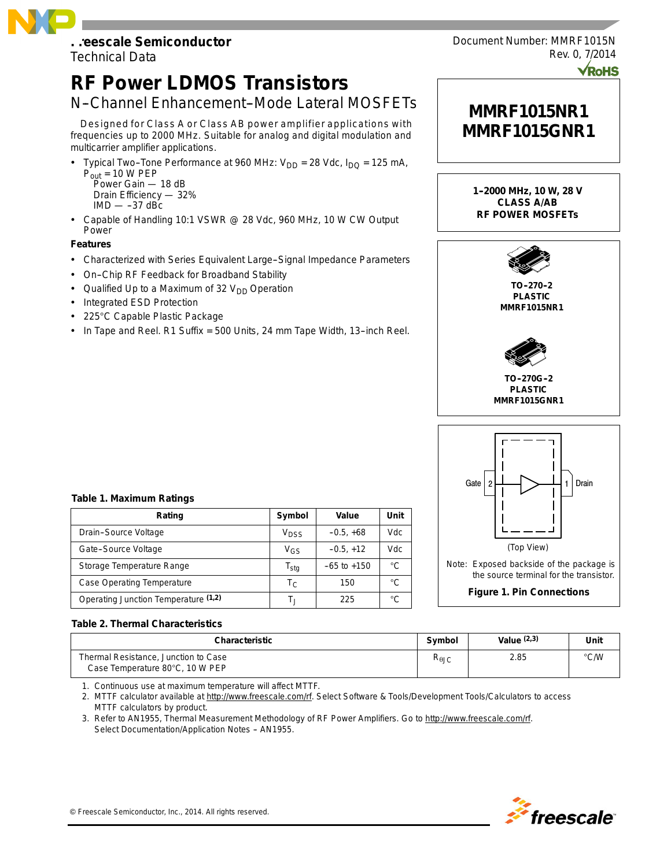# **Freescale Semiconductor**

Technical Data

## **RF Power LDMOS Transistors**

### N-Channel Enhancement-Mode Lateral MOSFETs

Designed for Class A or Class AB power amplifier applications with frequencies up to 2000 MHz. Suitable for analog and digital modulation and multicarrier amplifier applications.

- Typical Two-Tone Performance at 960 MHz:  $V_{DD} = 28$  Vdc,  $I_{DQ} = 125$  mA,  $P_{\text{out}} = 10 \text{ W } PEP$ Power Gain — 18 dB
	- Drain Efficiency 32%  $IMD$   $-$  -37 dBc
- Capable of Handling 10:1 VSWR @ 28 Vdc, 960 MHz, 10 W CW Output Power

#### **Features**

- Characterized with Series Equivalent Large-Signal Impedance Parameters
- On-Chip RF Feedback for Broadband Stability
- Qualified Up to a Maximum of 32  $V_{DD}$  Operation
- Integrated ESD Protection
- 225°C Capable Plastic Package
- In Tape and Reel. R1 Suffix = 500 Units, 24 mm Tape Width, 13-inch Reel.



Document Number: MMRF1015N

Rev. 0, 7/2014

**TO--270--2 PLASTIC MMRF1015NR1**



**TO--270G--2 PLASTIC MMRF1015GNR1**



#### **Table 1. Maximum Ratings**

| Rating                               | Symbol                      | Value           | Unit |
|--------------------------------------|-----------------------------|-----------------|------|
| Drain-Source Voltage                 | V <sub>DSS</sub>            | $-0.5, +68$     | Vdc  |
| Gate-Source Voltage                  | V <sub>GS</sub>             | $-0.5, +12$     | Vdc  |
| Storage Temperature Range            | $\mathsf{T}_{\mathsf{stg}}$ | $-65$ to $+150$ | °C.  |
| <b>Case Operating Temperature</b>    | $T_{\rm C}$                 | 150             | °C   |
| Operating Junction Temperature (1,2) | Т.,                         | 225             |      |

#### **Table 2. Thermal Characteristics**

| <b>Characteristic</b>                                                   | Symbol                 | Value $(2,3)$ | Unit          |
|-------------------------------------------------------------------------|------------------------|---------------|---------------|
| Thermal Resistance, Junction to Case<br>Case Temperature 80°C, 10 W PEP | $R_{\theta \text{JC}}$ | 2.85          | $\degree$ C/W |

1. Continuous use at maximum temperature will affect MTTF.

2. MTTF calculator available at http://www.freescale.com/rf. Select Software & Tools/Development Tools/Calculators to access MTTF calculators by product.

3. Refer to AN1955, *Thermal Measurement Methodology of RF Power Amplifiers.* Go to http://www.freescale.com/rf. Select Documentation/Application Notes - AN1955.

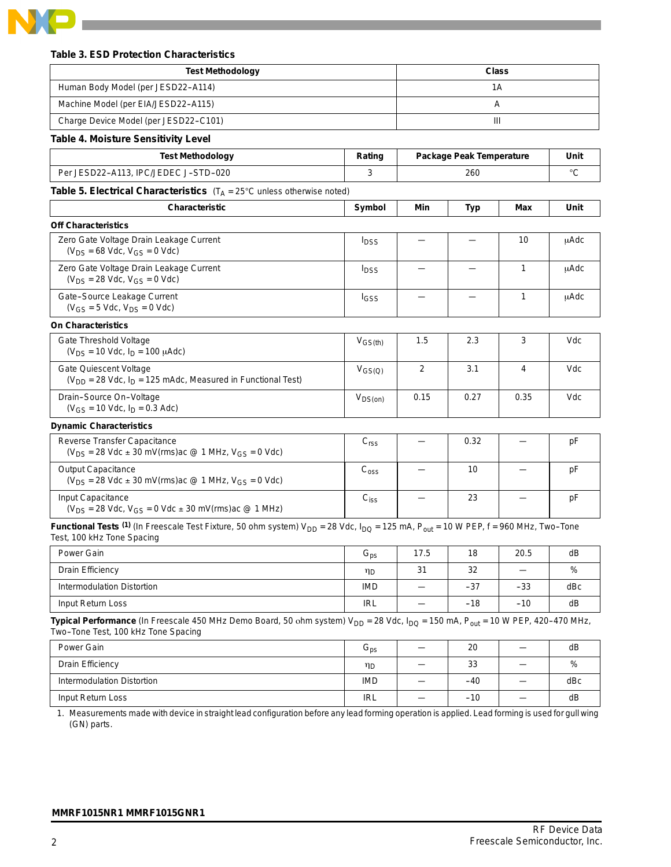

#### **Table 3. ESD Protection Characteristics**

| <b>Test Methodology</b>                                                                                                                                                                                   |                            |      |                                 | <b>Class</b>             |      |
|-----------------------------------------------------------------------------------------------------------------------------------------------------------------------------------------------------------|----------------------------|------|---------------------------------|--------------------------|------|
| Human Body Model (per JESD22-A114)                                                                                                                                                                        |                            | 1A   |                                 |                          |      |
| Machine Model (per EIA/JESD22-A115)                                                                                                                                                                       |                            | Α    |                                 |                          |      |
| Charge Device Model (per JESD22-C101)                                                                                                                                                                     |                            |      |                                 | Ш                        |      |
| <b>Table 4. Moisture Sensitivity Level</b>                                                                                                                                                                |                            |      |                                 |                          |      |
| <b>Test Methodology</b>                                                                                                                                                                                   | Rating                     |      | <b>Package Peak Temperature</b> |                          | Unit |
| Per JESD22-A113, IPC/JEDEC J-STD-020                                                                                                                                                                      | 3                          |      | 260                             |                          | °C   |
| Table 5. Electrical Characteristics $(T_A = 25^\circ C \text{ unless otherwise noted})$                                                                                                                   |                            |      |                                 |                          |      |
| Characteristic                                                                                                                                                                                            | Symbol                     | Min  | <b>Typ</b>                      | Max                      | Unit |
| <b>Off Characteristics</b>                                                                                                                                                                                |                            |      |                                 |                          |      |
| Zero Gate Voltage Drain Leakage Current<br>$(V_{DS} = 68$ Vdc, $V_{GS} = 0$ Vdc)                                                                                                                          | $I_{DSS}$                  |      |                                 | 10                       | μAdc |
| Zero Gate Voltage Drain Leakage Current<br>$(V_{DS} = 28$ Vdc, $V_{GS} = 0$ Vdc)                                                                                                                          | I <sub>DSS</sub>           |      |                                 | $\mathbf{1}$             | μAdc |
| Gate-Source Leakage Current<br>$(V_{GS} = 5$ Vdc, $V_{DS} = 0$ Vdc)                                                                                                                                       | <b>I</b> GSS               |      |                                 | 1                        | μAdc |
| <b>On Characteristics</b>                                                                                                                                                                                 |                            |      |                                 |                          |      |
| Gate Threshold Voltage<br>$(V_{DS} = 10$ Vdc, $I_D = 100$ $\mu$ Adc)                                                                                                                                      | $V_{GS(th)}$               | 1.5  | 2.3                             | 3                        | Vdc  |
| Gate Quiescent Voltage<br>$(V_{DD} = 28$ Vdc, $I_D = 125$ mAdc, Measured in Functional Test)                                                                                                              | $V_{GS(Q)}$                | 2    | 3.1                             | 4                        | Vdc  |
| Drain-Source On-Voltage<br>$(V_{GS} = 10$ Vdc, $I_D = 0.3$ Adc)                                                                                                                                           | $V_{DS(on)}$               | 0.15 | 0.27                            | 0.35                     | Vdc  |
| <b>Dynamic Characteristics</b>                                                                                                                                                                            |                            |      |                                 |                          |      |
| Reverse Transfer Capacitance<br>$(V_{DS} = 28$ Vdc $\pm$ 30 mV(rms)ac @ 1 MHz, V <sub>GS</sub> = 0 Vdc)                                                                                                   | C <sub>rss</sub>           |      | 0.32                            |                          | pF   |
| <b>Output Capacitance</b><br>$(V_{DS} = 28$ Vdc $\pm$ 30 mV(rms)ac @ 1 MHz, V <sub>GS</sub> = 0 Vdc)                                                                                                      | C <sub>oss</sub>           |      | 10                              |                          | рF   |
| Input Capacitance<br>$(V_{DS} = 28$ Vdc, $V_{GS} = 0$ Vdc $\pm$ 30 mV(rms)ac @ 1 MHz)                                                                                                                     | $C_{iss}$                  |      | 23                              |                          | pF   |
| Functional Tests (1) (In Freescale Test Fixture, 50 ohm system) $V_{DD} = 28$ Vdc, $I_{DQ} = 125$ mA, $P_{out} = 10$ W PEP, f = 960 MHz, Two-Tone<br>Test, 100 kHz Tone Spacing                           |                            |      |                                 |                          |      |
| Power Gain                                                                                                                                                                                                | $\mathbf{G}_{\text{ps}}$   | 17.5 | 18                              | 20.5                     | dB   |
| <b>Drain Efficiency</b>                                                                                                                                                                                   | ηD                         | 31   | 32                              | $\overline{\phantom{0}}$ | %    |
| <b>Intermodulation Distortion</b>                                                                                                                                                                         | <b>IMD</b>                 |      | -37                             | -33                      | dBc  |
| Input Return Loss                                                                                                                                                                                         | <b>IRL</b>                 |      | $-18$                           | $-10$                    | dВ   |
| Typical Performance (In Freescale 450 MHz Demo Board, 50 ohm system) V <sub>DD</sub> = 28 Vdc, I <sub>DQ</sub> = 150 mA, P <sub>out</sub> = 10 W PEP, 420-470 MHz,<br>Two-Tone Test, 100 kHz Tone Spacing |                            |      |                                 |                          |      |
| Power Gain                                                                                                                                                                                                | $\mathsf{G}_{\mathsf{ps}}$ |      | 20                              | —                        | dВ   |
| <b>Drain Efficiency</b>                                                                                                                                                                                   | ηD                         |      | 33                              |                          | %    |
| <b>Intermodulation Distortion</b>                                                                                                                                                                         | <b>IMD</b>                 |      | $-40$                           |                          | dBc  |

1. Measurements made with device in straight lead configuration before any lead forming operation is applied. Lead forming is used for gull wing (GN) parts.

Input Return Loss  $\begin{vmatrix} \text{IRL} & - & -10 & - \end{vmatrix}$  dB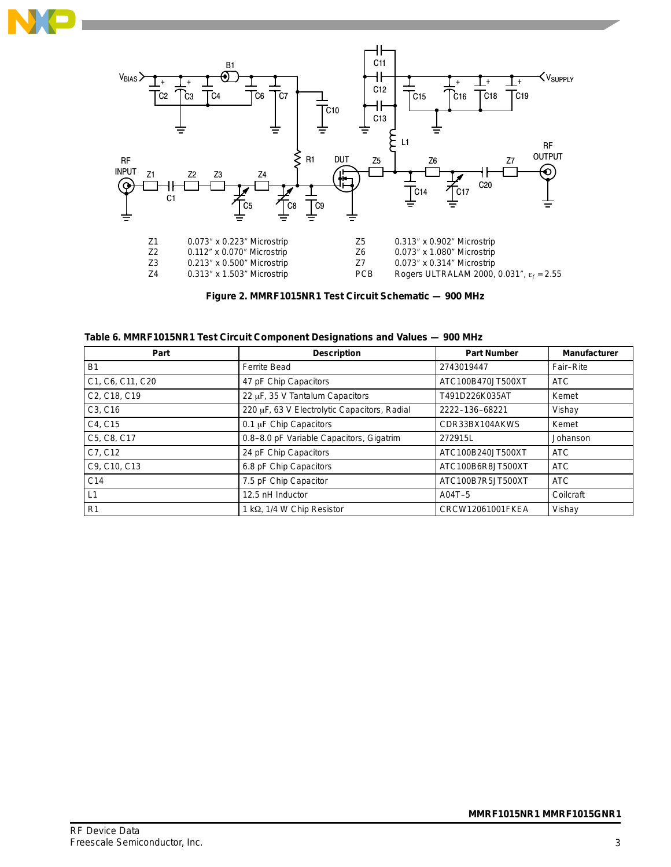



**Figure 2. MMRF1015NR1 Test Circuit Schematic — 900 MHz**

| Part             | <b>Description</b>                           | <b>Part Number</b> | <b>Manufacturer</b> |
|------------------|----------------------------------------------|--------------------|---------------------|
| <b>B1</b>        | <b>Ferrite Bead</b>                          | 2743019447         | Fair-Rite           |
| C1, C6, C11, C20 | 47 pF Chip Capacitors                        | ATC100B470JT500XT  | <b>ATC</b>          |
| C2, C18, C19     | 22 µF, 35 V Tantalum Capacitors              | T491D226K035AT     | Kemet               |
| C3, C16          | 220 µF, 63 V Electrolytic Capacitors, Radial | 2222-136-68221     | Vishay              |
| C4, C15          | 0.1 µF Chip Capacitors                       | CDR33BX104AKWS     | Kemet               |
| C5, C8, C17      | 0.8-8.0 pF Variable Capacitors, Gigatrim     | 272915L            | Johanson            |
| C7, C12          | 24 pF Chip Capacitors                        | ATC100B240JT500XT  | <b>ATC</b>          |
| C9, C10, C13     | 6.8 pF Chip Capacitors                       | ATC100B6R8JT500XT  | <b>ATC</b>          |
| C <sub>14</sub>  | 7.5 pF Chip Capacitor                        | ATC100B7R5JT500XT  | <b>ATC</b>          |
| L1               | 12.5 nH Inductor                             | A04T-5             | Coilcraft           |
| R <sub>1</sub>   | 1 kΩ, 1/4 W Chip Resistor                    | CRCW12061001FKEA   | Vishay              |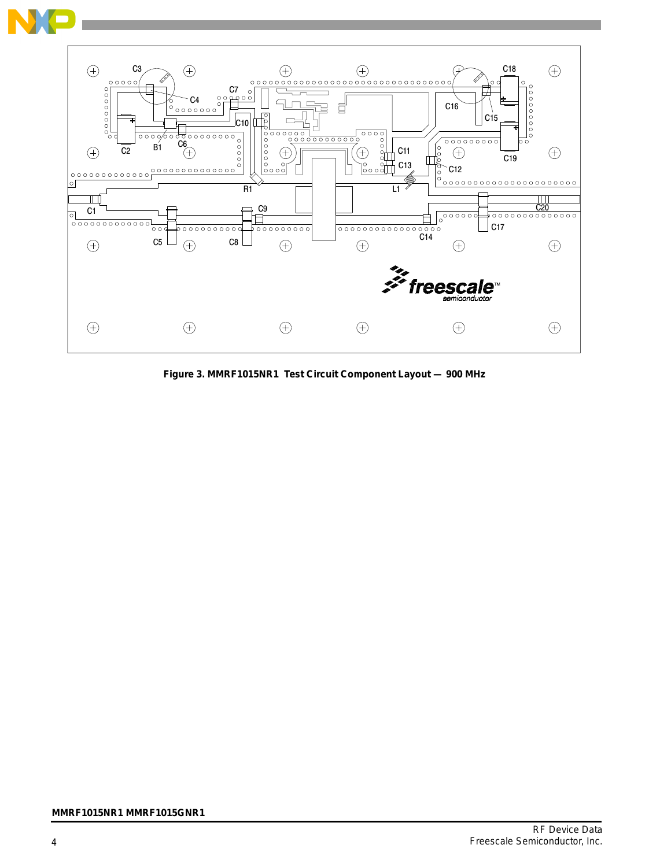

**Figure 3. MMRF1015NR1 Test Circuit Component Layout — 900 MHz**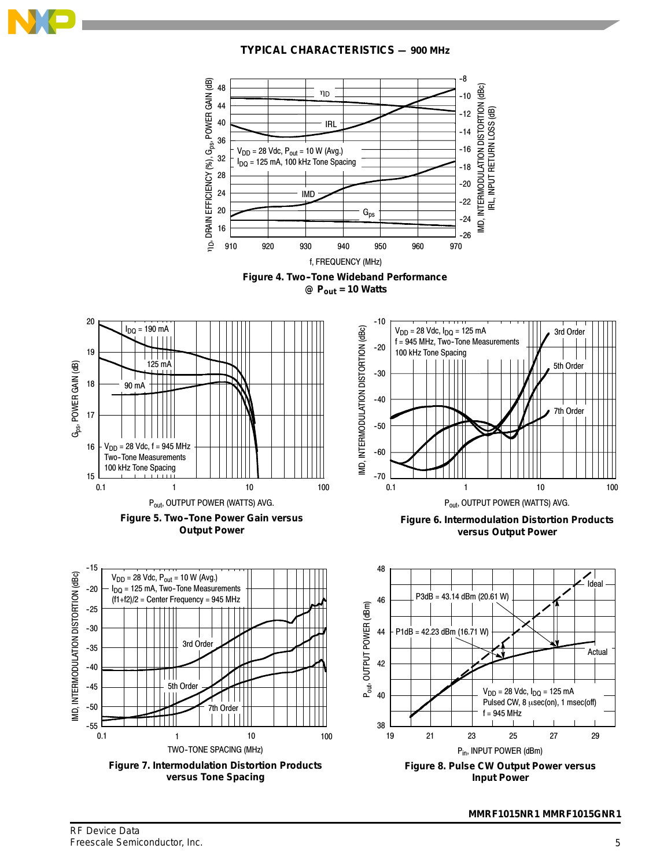

**TYPICAL CHARACTERISTICS — 900 MHz**

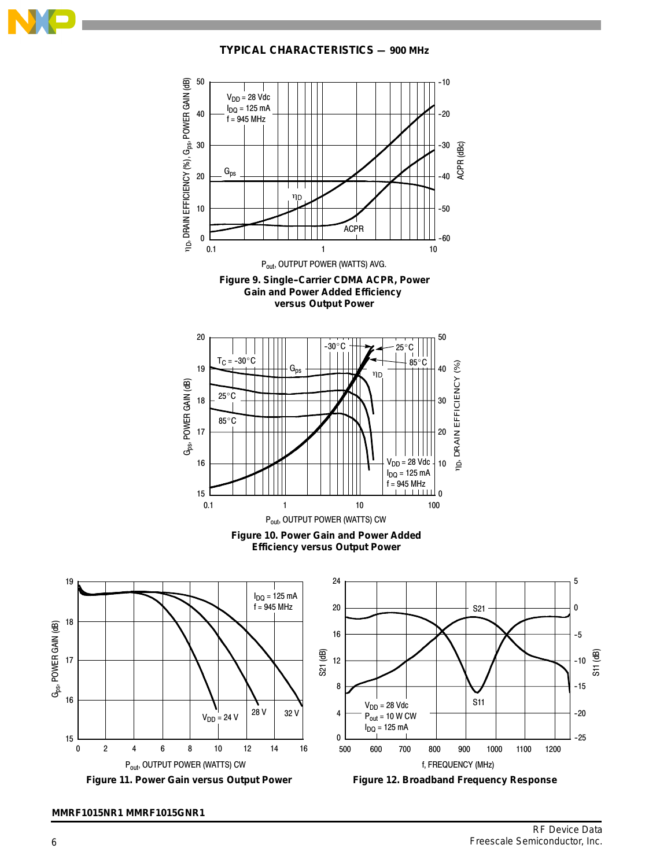

**TYPICAL CHARACTERISTICS — 900 MHz**

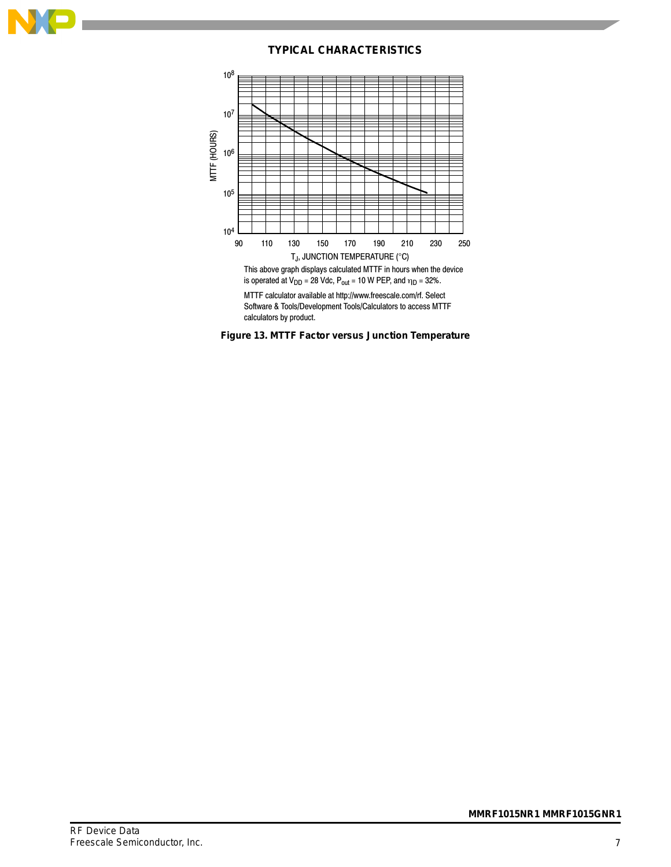

#### **TYPICAL CHARACTERISTICS**



MTTF calculator available at http://www.freescale.com/rf. Select Software & Tools/Development Tools/Calculators to access MTTF calculators by product.

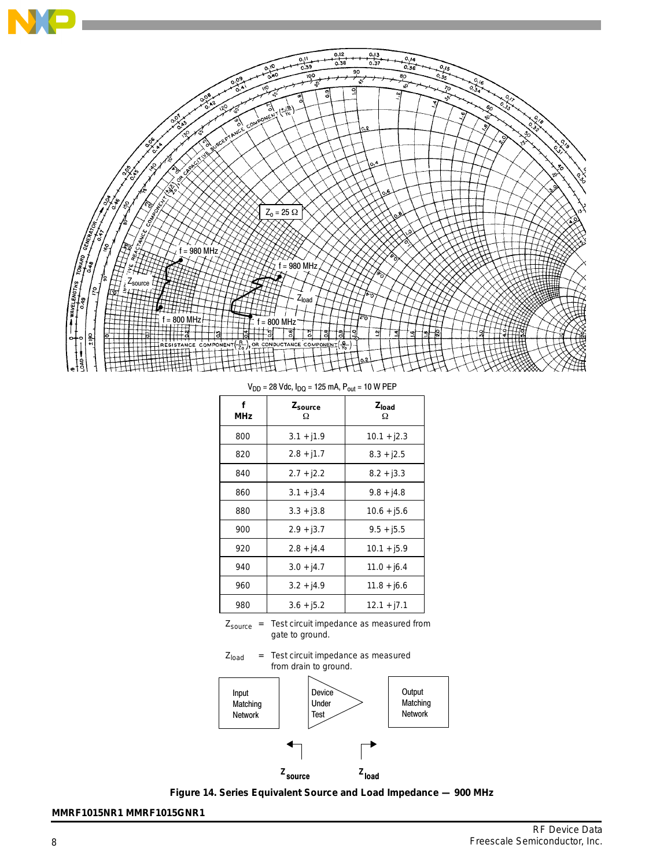

 $V_{DD} = 28$  Vdc,  $I_{DQ} = 125$  mA,  $P_{out} = 10$  W PEP

| f<br>MHz | Zsource<br>Ω | Z <sub>load</sub><br>Ω |
|----------|--------------|------------------------|
| 800      | $3.1 + j1.9$ | $10.1 + j2.3$          |
| 820      | $2.8 + j1.7$ | $8.3 + j2.5$           |
| 840      | $2.7 + j2.2$ | $8.2 + j3.3$           |
| 860      | $3.1 + j3.4$ | $9.8 + j4.8$           |
| 880      | $3.3 + j3.8$ | $10.6 + 15.6$          |
| 900      | $2.9 + j3.7$ | $9.5 + j5.5$           |
| 920      | $2.8 + j4.4$ | $10.1 + j5.9$          |
| 940      | $3.0 + j4.7$ | $11.0 + j6.4$          |
| 960      | $3.2 + 14.9$ | 11.8 + j6.6            |
| 980      | $3.6 + j5.2$ | $12.1 + j7.1$          |

 $Z_{\text{source}}$  = Test circuit impedance as measured from gate to ground.





**Figure 14. Series Equivalent Source and Load Impedance — 900 MHz**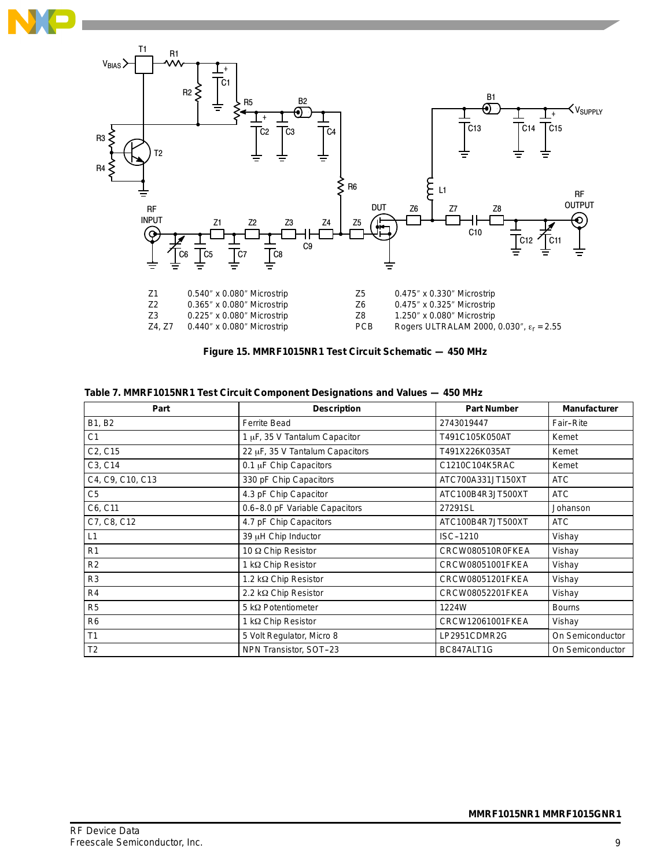



| Part                             | <b>Description</b>              | <b>Part Number</b> | <b>Manufacturer</b> |
|----------------------------------|---------------------------------|--------------------|---------------------|
| B1, B2                           | <b>Ferrite Bead</b>             | 2743019447         | Fair-Rite           |
| C <sub>1</sub>                   | 1 µF, 35 V Tantalum Capacitor   | T491C105K050AT     | Kemet               |
| C <sub>2</sub> , C <sub>15</sub> | 22 µF, 35 V Tantalum Capacitors | T491X226K035AT     | Kemet               |
| C3, C14                          | 0.1 µF Chip Capacitors          | C1210C104K5RAC     | Kemet               |
| C4, C9, C10, C13                 | 330 pF Chip Capacitors          | ATC700A331JT150XT  | <b>ATC</b>          |
| C5                               | 4.3 pF Chip Capacitor           | ATC100B4R3JT500XT  | <b>ATC</b>          |
| C6, C11                          | 0.6-8.0 pF Variable Capacitors  | 27291SL            | Johanson            |
| C7, C8, C12                      | 4.7 pF Chip Capacitors          | ATC100B4R7JT500XT  | <b>ATC</b>          |
| L1                               | 39 µH Chip Inductor             | ISC-1210           | Vishay              |
| R <sub>1</sub>                   | 10 Ω Chip Resistor              | CRCW080510R0FKEA   | Vishay              |
| R2                               | 1 kΩ Chip Resistor              | CRCW08051001FKEA   | Vishay              |
| R <sub>3</sub>                   | 1.2 kΩ Chip Resistor            | CRCW08051201FKEA   | Vishay              |
| R <sub>4</sub>                   | 2.2 kΩ Chip Resistor            | CRCW08052201FKEA   | Vishay              |
| R <sub>5</sub>                   | 5 k $\Omega$ Potentiometer      | 1224W              | <b>Bourns</b>       |
| R <sub>6</sub>                   | 1 kΩ Chip Resistor              | CRCW12061001FKEA   | Vishay              |
| T <sub>1</sub>                   | 5 Volt Regulator, Micro 8       | LP2951CDMR2G       | On Semiconductor    |
| T <sub>2</sub>                   | NPN Transistor, SOT-23          | BC847ALT1G         | On Semiconductor    |

|  | Table 7. MMRF1015NR1 Test Circuit Component Designations and Values — 450 MHz |  |  |  |  |  |
|--|-------------------------------------------------------------------------------|--|--|--|--|--|
|--|-------------------------------------------------------------------------------|--|--|--|--|--|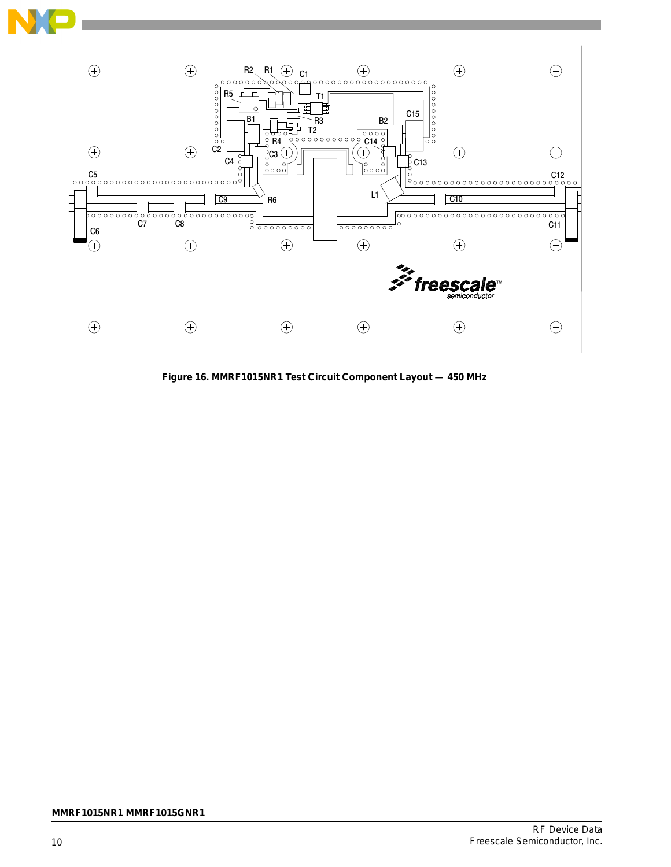

**Figure 16. MMRF1015NR1 Test Circuit Component Layout — 450 MHz**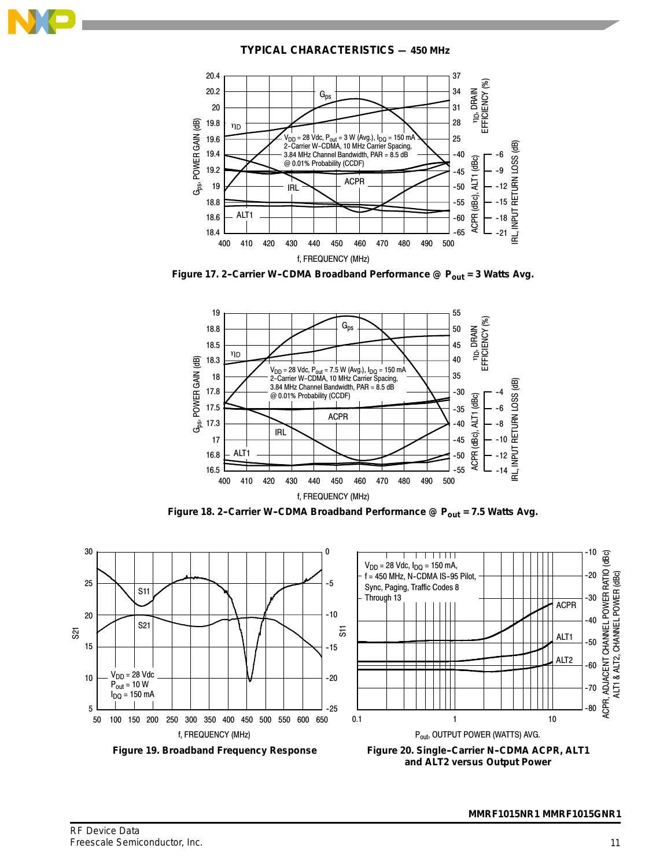

**TYPICAL CHARACTERISTICS — 450 MHz**







Figure 18. 2-Carrier W-CDMA Broadband Performance @ P<sub>out</sub> = 7.5 Watts Avg.

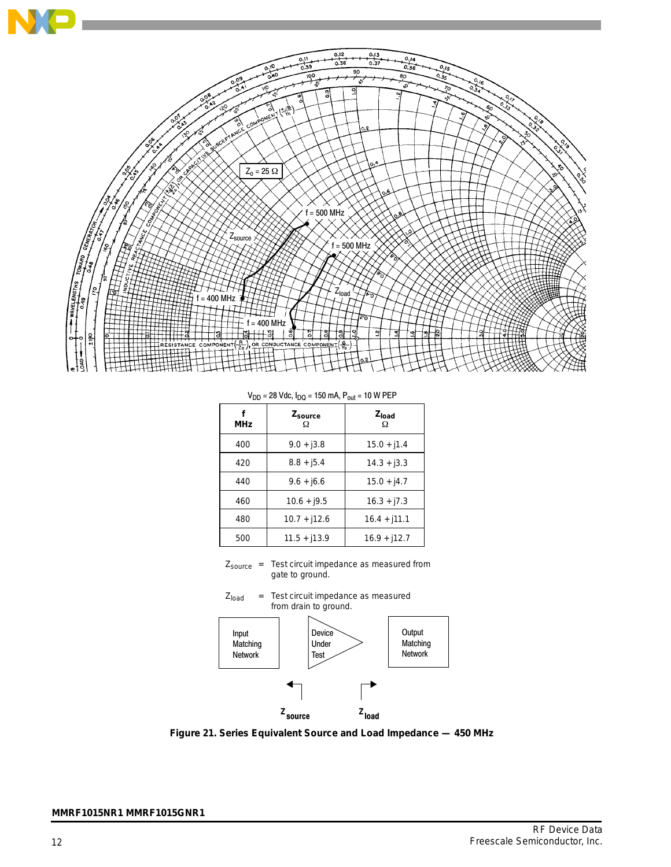

 $V_{DD} = 28$  Vdc,  $I_{DQ} = 150$  mA,  $P_{out} = 10$  W PEP

| பப         | שיש י                    | vu              |
|------------|--------------------------|-----------------|
| <b>MHz</b> | Z <sub>source</sub><br>Ω | $Z_{load}$<br>Ω |
| 400        | $9.0 + j3.8$             | $15.0 + j1.4$   |
| 420        | $8.8 + j5.4$             | $14.3 + j3.3$   |
| 440        | $9.6 + j6.6$             | $15.0 + j4.7$   |
| 460        | $10.6 + j9.5$            | $16.3 + j7.3$   |
| 480        | $10.7 + j12.6$           | $16.4 + j11.1$  |
| 500        | $11.5 + j13.9$           | $16.9 + j12.7$  |

Zsource = Test circuit impedance as measured from gate to ground.



**Figure 21. Series Equivalent Source and Load Impedance — 450 MHz**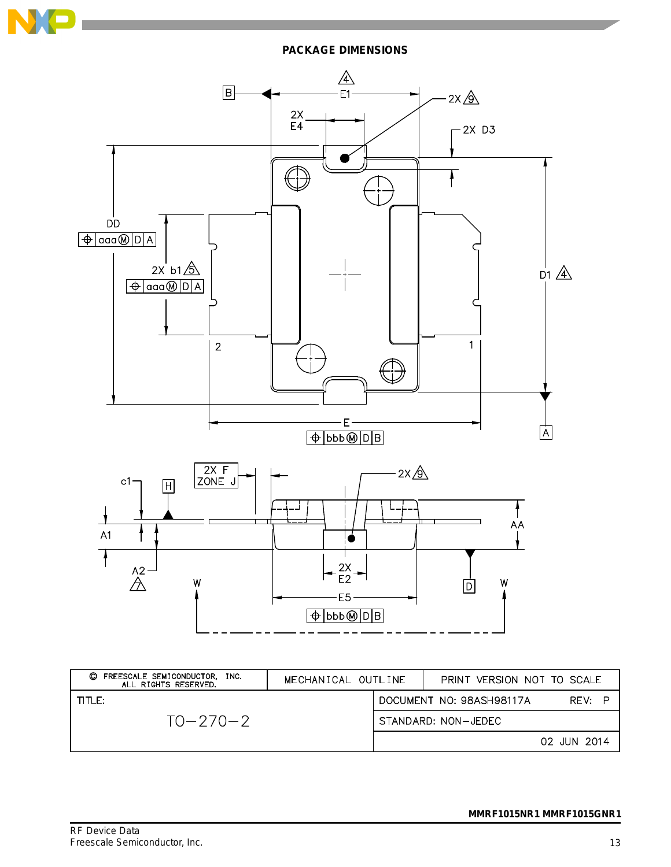

**PACKAGE DIMENSIONS**



| FREESCALE SEMICONDUCTOR,<br>O<br>INC.<br>ALL RIGHTS RESERVED. | MECHANICAL OUTLINE | PRINT VERSION NOT TO SCALE |             |
|---------------------------------------------------------------|--------------------|----------------------------|-------------|
| TITI F:                                                       |                    | DOCUMENT NO: 98ASH98117A   | RFV:        |
| $TO - 270 - 2$                                                |                    | STANDARD: NON-JEDEC        |             |
|                                                               |                    |                            | 02 JUN 2014 |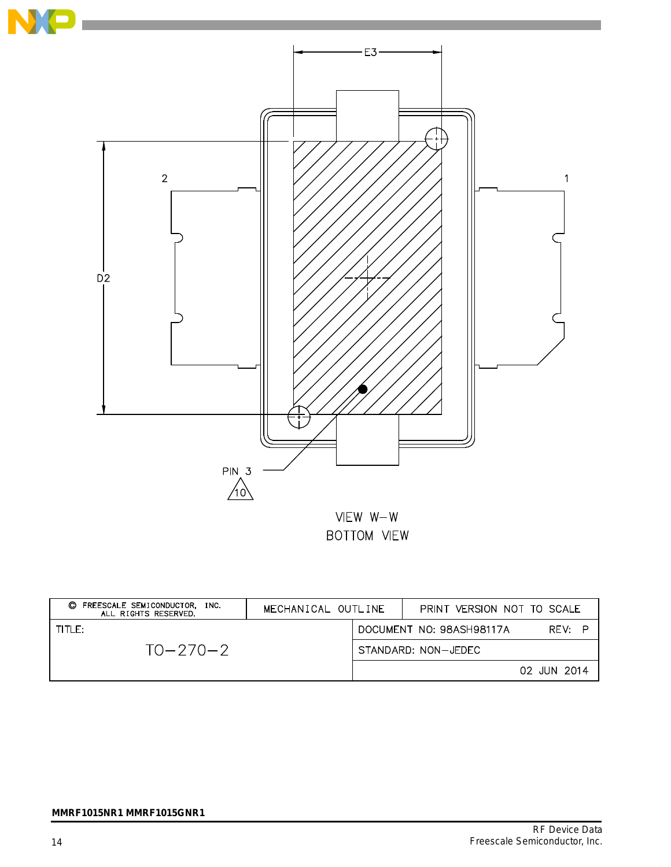

| FREESCALE SEMICONDUCTOR, INC.<br>O<br>ALL RIGHTS RESERVED. | MECHANICAL OUTLINE | PRINT VERSION NOT TO SCALE         |
|------------------------------------------------------------|--------------------|------------------------------------|
| TITLE:                                                     |                    | RFV: P<br>DOCUMENT NO: 98ASH98117A |
| $TO-270-2$                                                 |                    | STANDARD: NON-JEDEC                |
|                                                            |                    | 02 JUN 2014                        |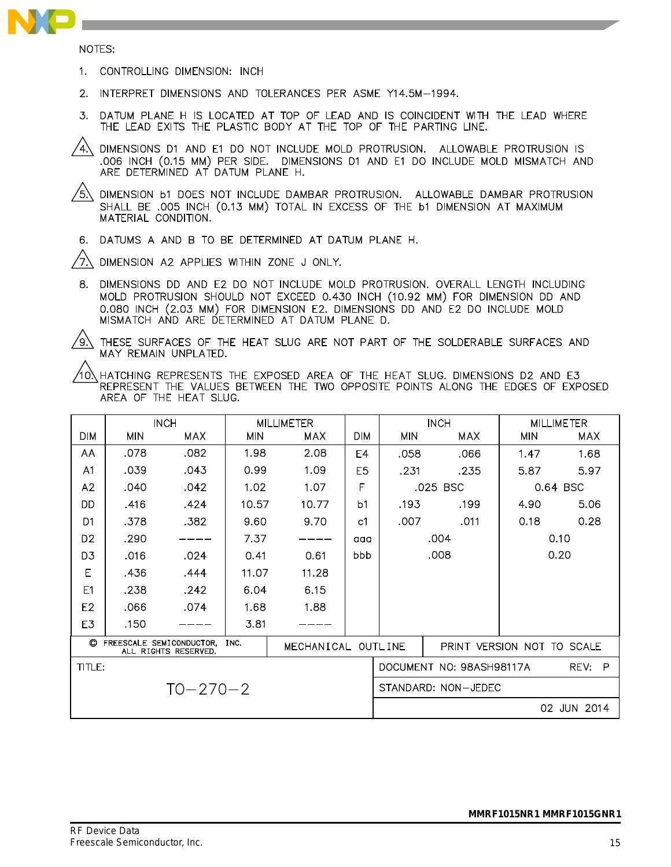

NOTES:

- 1. CONTROLLING DIMENSION: INCH
- 2. INTERPRET DIMENSIONS AND TOLERANCES PER ASME Y14.5M-1994.
- 3. DATUM PLANE H IS LOCATED AT TOP OF LEAD AND IS COINCIDENT WITH THE LEAD WHERE THE LEAD EXITS THE PLASTIC BODY AT THE TOP OF THE PARTING LINE.
- 4) DIMENSIONS D1 AND E1 DO NOT INCLUDE MOLD PROTRUSION. ALLOWABLE PROTRUSION IS .006 INCH (0.15 MM) PER SIDE. DIMENSIONS D1 AND E1 DO INCLUDE MOLD MISMATCH AND ARE DETERMINED AT DATUM PLANE H.

 $/$ 5 $\setminus$ DIMENSION b1 DOES NOT INCLUDE DAMBAR PROTRUSION. ALLOWABLE DAMBAR PROTRUSION SHALL BE .005 INCH (0.13 MM) TOTAL IN EXCESS OF THE b1 DIMENSION AT MAXIMUM MATERIAL CONDITION.

6. DATUMS A AND B TO BE DETERMINED AT DATUM PLANE H.

′7. DIMENSION A2 APPLIES WITHIN ZONE J ONLY.

8. DIMENSIONS DD AND E2 DO NOT INCLUDE MOLD PROTRUSION. OVERALL LENGTH INCLUDING MOLD PROTRUSION SHOULD NOT EXCEED 0.430 INCH (10.92 MM) FOR DIMENSION DD AND 0.080 INCH (2.03 MM) FOR DIMENSION E2. DIMENSIONS DD AND E2 DO INCLUDE MOLD MISMATCH AND ARE DETERMINED AT DATUM PLANE D.

 $\sqrt{9}$ 

THESE SURFACES OF THE HEAT SLUG ARE NOT PART OF THE SOLDERABLE SURFACES AND MAY REMAIN UNPLATED.

10) HATCHING REPRESENTS THE EXPOSED AREA OF THE HEAT SLUG. DIMENSIONS D2 AND E3 REPRESENT THE VALUES BETWEEN THE TWO OPPOSITE POINTS ALONG THE EDGES OF EXPOSED AREA OF THE HEAT SLUG.

|                | <b>INCH</b> |                                                    | <b>MILLIMETER</b> |                    |                |                     | <b>INCH</b>                | <b>MILLIMETER</b> |             |
|----------------|-------------|----------------------------------------------------|-------------------|--------------------|----------------|---------------------|----------------------------|-------------------|-------------|
| <b>DIM</b>     | <b>MIN</b>  | MAX.                                               | MIN               | MAX.               | <b>DIM</b>     | <b>MIN</b>          | MAX.                       | <b>MIN</b>        | <b>MAX</b>  |
| AA             | .078        | .082                                               | 1.98              | 2.08               | E4             | .058                | .066                       | 1.47              | 1.68        |
| A <sub>1</sub> | .039        | .043                                               | 0.99              | 1.09               | E <sub>5</sub> | .231                | .235                       | 5.87              | 5.97        |
| A2             | .040        | .042                                               | 1.02              | 1.07               | F              | .025 BSC            |                            | 0.64 BSC          |             |
| DD             | .416        | .424                                               | 10.57             | 10.77              | b <sub>1</sub> | .193                | .199                       | 4.90              | 5.06        |
| D <sub>1</sub> | .378        | .382                                               | 9.60              | 9.70               | c1             | .007                | .011                       | 0.18              | 0.28        |
| D <sub>2</sub> | .290        |                                                    | 7.37              |                    | aaa            | .004                |                            |                   | 0.10        |
| D <sub>3</sub> | .016        | .024                                               | 0.41              | 0.61               | bbb            |                     | .008                       |                   | 0.20        |
| E              | .436        | .444                                               | 11.07             | 11.28              |                |                     |                            |                   |             |
| E1             | .238        | .242                                               | 6.04              | 6.15               |                |                     |                            |                   |             |
| E <sub>2</sub> | .066        | .074                                               | 1.68              | 1.88               |                |                     |                            |                   |             |
| E3             | .150        |                                                    | 3.81              |                    |                |                     |                            |                   |             |
|                |             | C FREESCALE SEMICONDUCTOR.<br>ALL RIGHTS RESERVED. | INC.              | MECHANICAL OUTLINE |                |                     | PRINT VERSION NOT TO SCALE |                   |             |
| TITLE:         |             |                                                    |                   |                    |                |                     | DOCUMENT NO: 98ASH98117A   |                   | P<br>REV:   |
| $TO - 270 - 2$ |             |                                                    |                   |                    |                | STANDARD: NON-JEDEC |                            |                   |             |
|                |             |                                                    |                   |                    |                |                     |                            |                   | 02 JUN 2014 |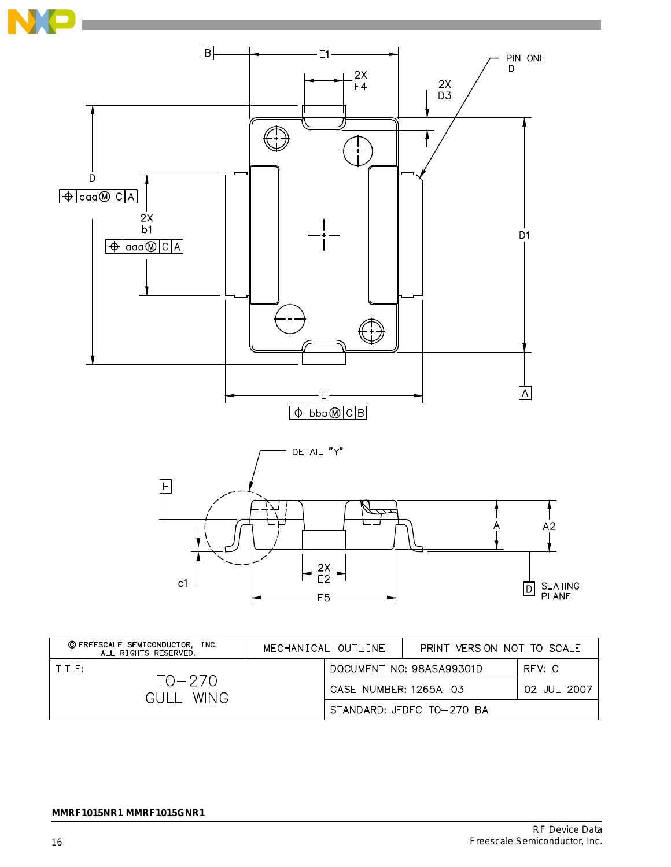

| © FREESCALE SEMICONDUCTOR, INC.<br>ALL RIGHTS RESERVED. | MECHANICAL OUTLINE       |                       | PRINT VERSION NOT TO SCALE |        |
|---------------------------------------------------------|--------------------------|-----------------------|----------------------------|--------|
| TITLE:                                                  | DOCUMENT NO: 98ASA99301D |                       |                            | RFV: C |
| $TO - 270$<br><b>WING</b><br>GUI I                      |                          | CASE NUMBER: 1265A-03 | 02 JUL 2007                |        |
|                                                         |                          |                       | STANDARD: JFDFC TO-270 BA  |        |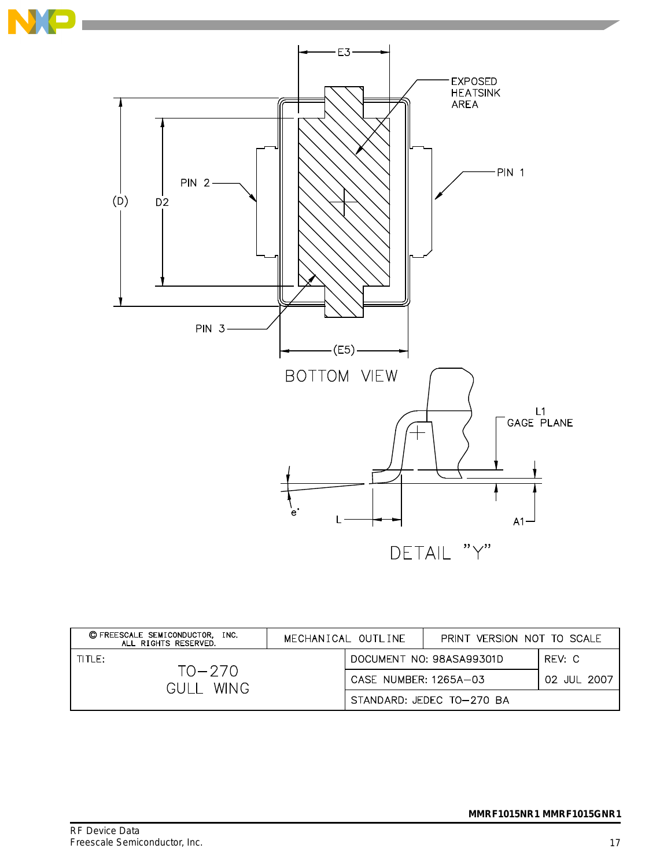

| © FREESCALE SEMICONDUCTOR. INC.<br>ALL RIGHTS RESERVED. | MECHANICAL OUTLINE |                          | PRINT VERSION NOT TO SCALE |        |
|---------------------------------------------------------|--------------------|--------------------------|----------------------------|--------|
| $THH$ F:                                                |                    | DOCUMENT NO: 98ASA99301D |                            | RFV: C |
| TO—270<br><b>WING</b><br>GULI .                         |                    | CASE NUMBER: 1265A-03    | 02 JUL 2007                |        |
|                                                         |                    |                          | STANDARD: JEDEC TO-270 BA  |        |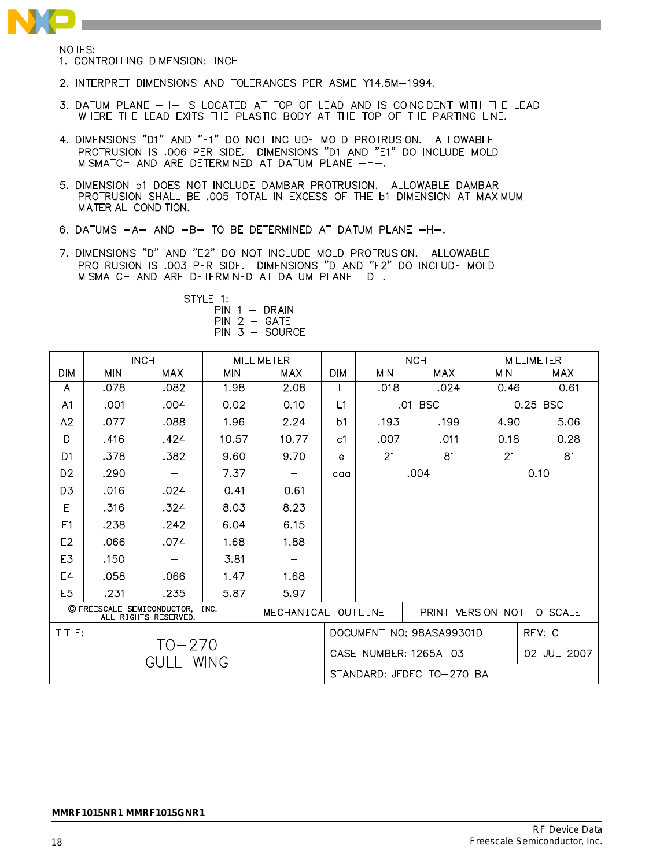

NOTES:

- 1. CONTROLLING DIMENSION: INCH
- 2. INTERPRET DIMENSIONS AND TOLERANCES PER ASME Y14.5M-1994.
- 3. DATUM PLANE -H- IS LOCATED AT TOP OF LEAD AND IS COINCIDENT WITH THE LEAD WHERE THE LEAD EXITS THE PLASTIC BODY AT THE TOP OF THE PARTING LINE.
- 4. DIMENSIONS "D1" AND "E1" DO NOT INCLUDE MOLD PROTRUSION. ALLOWABLE PROTRUSION IS .006 PER SIDE. DIMENSIONS "D1 AND "E1" DO INCLUDE MOLD MISMATCH AND ARE DETERMINED AT DATUM PLANE -H-.
- 5. DIMENSION **b1 DOES NOT INCLUDE DAMBAR PROTRUSION.** ALLOWABLE DAMBAR PROTRUSION SHALL BE .005 TOTAL IN EXCESS OF THE b1 DIMENSION AT MAXIMUM MATERIAL CONDITION.
- 6. DATUMS -A- AND -B- TO BE DETERMINED AT DATUM PLANE -H-.
- 7. DIMENSIONS "D" AND "E2" DO NOT INCLUDE MOLD PROTRUSION. ALLOWABLE PROTRUSION IS .003 PER SIDE. DIMENSIONS "D AND "E2" DO INCLUDE MOLD MISMATCH AND ARE DETERMINED AT DATUM PLANE -D-.

STYLE 1:  $PIN 1 - DRAIN$  $PIN 2 - GATE$ PIN 3 - SOURCE

|                                                            | <b>INCH</b> |            |            | <b>MILLIMETER</b>                  |                    |                           | <b>INCH</b> |                            | <b>MILLIMETER</b> |  |
|------------------------------------------------------------|-------------|------------|------------|------------------------------------|--------------------|---------------------------|-------------|----------------------------|-------------------|--|
| <b>DIM</b>                                                 | <b>MIN</b>  | <b>MAX</b> | <b>MIN</b> | MAX                                | <b>DIM</b>         | <b>MIN</b>                | <b>MAX</b>  | <b>MIN</b>                 | <b>MAX</b>        |  |
| A                                                          | .078        | .082       | 1.98       | 2.08                               | L                  | .018                      | .024        | 0.46                       | 0.61              |  |
| A <sub>1</sub>                                             | .001        | .004       | 0.02       | 0.10                               | L1                 |                           | .01 BSC     |                            | 0.25 BSC          |  |
| A2                                                         | .077        | .088       | 1.96       | 2.24                               | b <sub>1</sub>     | .193                      | .199        | 4.90                       | 5.06              |  |
| D                                                          | .416        | .424       | 10.57      | 10.77                              | c <sub>1</sub>     | .007                      | .011        | 0.18                       | 0.28              |  |
| D <sub>1</sub>                                             | .378        | .382       | 9.60       | 9.70                               | e                  | $2^{\cdot}$               | $8^{\circ}$ | $2^{\circ}$                | $8^{\cdot}$       |  |
| D <sub>2</sub>                                             | .290        |            | 7.37       | $\qquad \qquad \qquad$             | aaa                | .004                      |             | 0.10                       |                   |  |
| D <sub>3</sub>                                             | .016        | .024       | 0.41       | 0.61                               |                    |                           |             |                            |                   |  |
| E                                                          | .316        | .324       | 8.03       | 8.23                               |                    |                           |             |                            |                   |  |
| E1                                                         | .238        | .242       | 6.04       | 6.15                               |                    |                           |             |                            |                   |  |
| E <sub>2</sub>                                             | .066        | .074       | 1.68       | 1.88                               |                    |                           |             |                            |                   |  |
| E3                                                         | .150        |            | 3.81       |                                    |                    |                           |             |                            |                   |  |
| E4                                                         | .058        | .066       | 1.47       | 1.68                               |                    |                           |             |                            |                   |  |
| E <sub>5</sub>                                             | .231        | .235       | 5.87       | 5.97                               |                    |                           |             |                            |                   |  |
| C FREESCALE SEMICONDUCTOR.<br>INC.<br>ALL RIGHTS RESERVED. |             |            |            |                                    | MECHANICAL OUTLINE |                           |             | PRINT VERSION NOT TO SCALE |                   |  |
| TITLE:                                                     |             |            |            | REV: C<br>DOCUMENT NO: 98ASA99301D |                    |                           |             |                            |                   |  |
| $TO - 270$<br><b>WING</b><br>GULL                          |             |            |            |                                    |                    | CASE NUMBER: 1265A-03     |             |                            | 02 JUL 2007       |  |
|                                                            |             |            |            |                                    |                    | STANDARD: JEDEC TO-270 BA |             |                            |                   |  |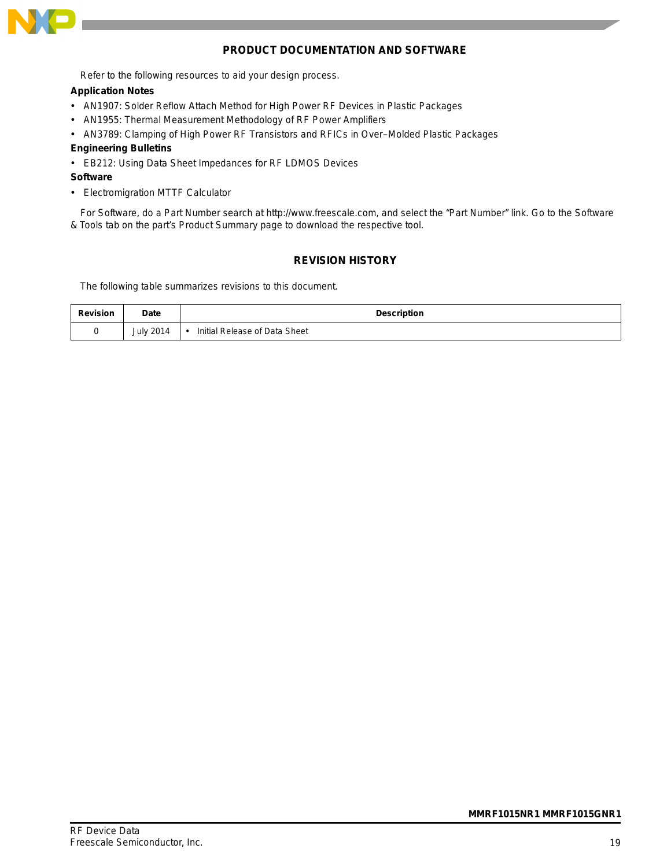

#### **PRODUCT DOCUMENTATION AND SOFTWARE**

Refer to the following resources to aid your design process.

#### **Application Notes**

- AN1907: Solder Reflow Attach Method for High Power RF Devices in Plastic Packages
- AN1955: Thermal Measurement Methodology of RF Power Amplifiers
- AN3789: Clamping of High Power RF Transistors and RFICs in Over--Molded Plastic Packages

#### **Engineering Bulletins**

- EB212: Using Data Sheet Impedances for RF LDMOS Devices
- **Software**
- Electromigration MTTF Calculator

For Software, do a Part Number search at http://www.freescale.com, and select the "Part Number" link. Go to the Software & Tools tab on the part's Product Summary page to download the respective tool.

#### **REVISION HISTORY**

The following table summarizes revisions to this document.

| <b>Revision</b> | <b>Date</b>      | <b>Description</b>            |  |  |  |
|-----------------|------------------|-------------------------------|--|--|--|
|                 | <b>July 2014</b> | Initial Release of Data Sheet |  |  |  |